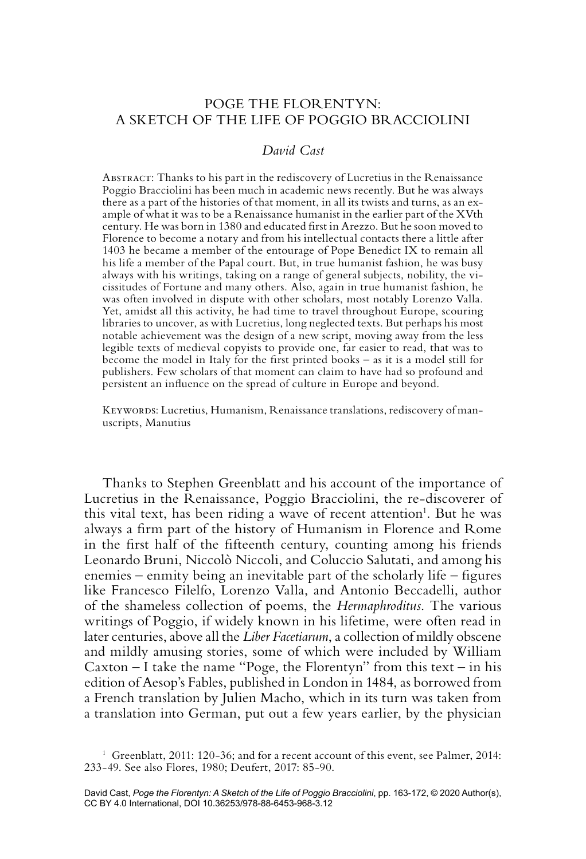## POGE THE FLORENTYN: A SKETCH OF THE LIFE OF POGGIO BRACCIOLINI

## *David Cast*

Abstract: Thanks to his part in the rediscovery of Lucretius in the Renaissance Poggio Bracciolini has been much in academic news recently. But he was always there as a part of the histories of that moment, in all its twists and turns, as an example of what it was to be a Renaissance humanist in the earlier part of the XVth century. He was born in 1380 and educated first in Arezzo. But he soon moved to Florence to become a notary and from his intellectual contacts there a little after 1403 he became a member of the entourage of Pope Benedict IX to remain all his life a member of the Papal court. But, in true humanist fashion, he was busy always with his writings, taking on a range of general subjects, nobility, the vicissitudes of Fortune and many others. Also, again in true humanist fashion, he was often involved in dispute with other scholars, most notably Lorenzo Valla. Yet, amidst all this activity, he had time to travel throughout Europe, scouring libraries to uncover, as with Lucretius, long neglected texts. But perhaps his most notable achievement was the design of a new script, moving away from the less legible texts of medieval copyists to provide one, far easier to read, that was to become the model in Italy for the first printed books – as it is a model still for publishers. Few scholars of that moment can claim to have had so profound and persistent an influence on the spread of culture in Europe and beyond.

Keywords: Lucretius, Humanism, Renaissance translations, rediscovery of manuscripts, Manutius

Thanks to Stephen Greenblatt and his account of the importance of Lucretius in the Renaissance, Poggio Bracciolini, the re-discoverer of this vital text, has been riding a wave of recent attention<sup>1</sup>. But he was always a firm part of the history of Humanism in Florence and Rome in the first half of the fifteenth century, counting among his friends Leonardo Bruni, Niccolò Niccoli, and Coluccio Salutati, and among his enemies – enmity being an inevitable part of the scholarly life – figures like Francesco Filelfo, Lorenzo Valla, and Antonio Beccadelli, author of the shameless collection of poems, the *Hermaphroditus*. The various writings of Poggio, if widely known in his lifetime, were often read in later centuries, above all the *Liber Facetiarum*, a collection of mildly obscene and mildly amusing stories, some of which were included by William Caxton – I take the name "Poge, the Florentyn" from this text – in his edition of Aesop's Fables, published in London in 1484, as borrowed from a French translation by Julien Macho, which in its turn was taken from a translation into German, put out a few years earlier, by the physician

<sup>&</sup>lt;sup>1</sup> Greenblatt, 2011: 120-36; and for a recent account of this event, see Palmer, 2014: 233-49. See also Flores, 1980; Deufert, 2017: 85-90.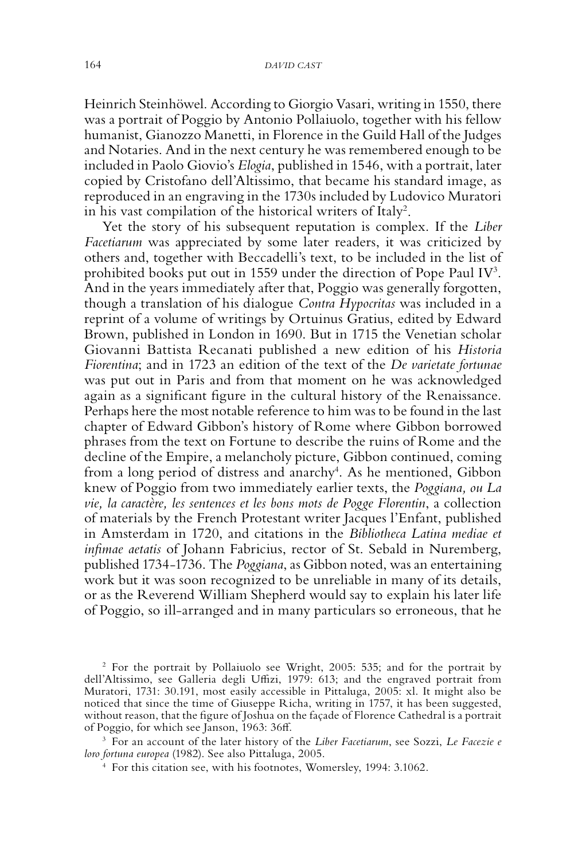Heinrich Steinhöwel. According to Giorgio Vasari, writing in 1550, there was a portrait of Poggio by Antonio Pollaiuolo, together with his fellow humanist, Gianozzo Manetti, in Florence in the Guild Hall of the Judges and Notaries. And in the next century he was remembered enough to be included in Paolo Giovio's *Elogia*, published in 1546, with a portrait, later copied by Cristofano dell'Altissimo, that became his standard image, as reproduced in an engraving in the 1730s included by Ludovico Muratori in his vast compilation of the historical writers of Italy<sup>2</sup>.

Yet the story of his subsequent reputation is complex. If the *Liber Facetiarum* was appreciated by some later readers, it was criticized by others and, together with Beccadelli's text, to be included in the list of prohibited books put out in 1559 under the direction of Pope Paul IV<sup>3</sup>. And in the years immediately after that, Poggio was generally forgotten, though a translation of his dialogue *Contra Hypocritas* was included in a reprint of a volume of writings by Ortuinus Gratius, edited by Edward Brown, published in London in 1690. But in 1715 the Venetian scholar Giovanni Battista Recanati published a new edition of his *Historia Fiorentina*; and in 1723 an edition of the text of the *De varietate fortunae* was put out in Paris and from that moment on he was acknowledged again as a significant figure in the cultural history of the Renaissance. Perhaps here the most notable reference to him was to be found in the last chapter of Edward Gibbon's history of Rome where Gibbon borrowed phrases from the text on Fortune to describe the ruins of Rome and the decline of the Empire, a melancholy picture, Gibbon continued, coming from a long period of distress and anarchy<sup>4</sup>. As he mentioned, Gibbon knew of Poggio from two immediately earlier texts, the *Poggiana, ou La vie, la caractère, les sentences et les bons mots de Pogge Florentin*, a collection of materials by the French Protestant writer Jacques l'Enfant, published in Amsterdam in 1720, and citations in the *Bibliotheca Latina mediae et infimae aetatis* of Johann Fabricius, rector of St. Sebald in Nuremberg, published 1734-1736. The *Poggiana*, as Gibbon noted, was an entertaining work but it was soon recognized to be unreliable in many of its details, or as the Reverend William Shepherd would say to explain his later life of Poggio, so ill-arranged and in many particulars so erroneous, that he

<sup>2</sup> For the portrait by Pollaiuolo see Wright, 2005: 535; and for the portrait by dell'Altissimo, see Galleria degli Uffizi, 1979: 613; and the engraved portrait from Muratori, 1731: 30.191, most easily accessible in Pittaluga, 2005: xl. It might also be noticed that since the time of Giuseppe Richa, writing in 1757, it has been suggested, without reason, that the figure of Joshua on the façade of Florence Cathedral is a portrait of Poggio, for which see Janson, 1963: 36ff.

<sup>3</sup> For an account of the later history of the *Liber Facetiarum*, see Sozzi, *Le Facezie e loro fortuna europea* (1982). See also Pittaluga, 2005.

<sup>4</sup> For this citation see, with his footnotes, Womersley, 1994: 3.1062.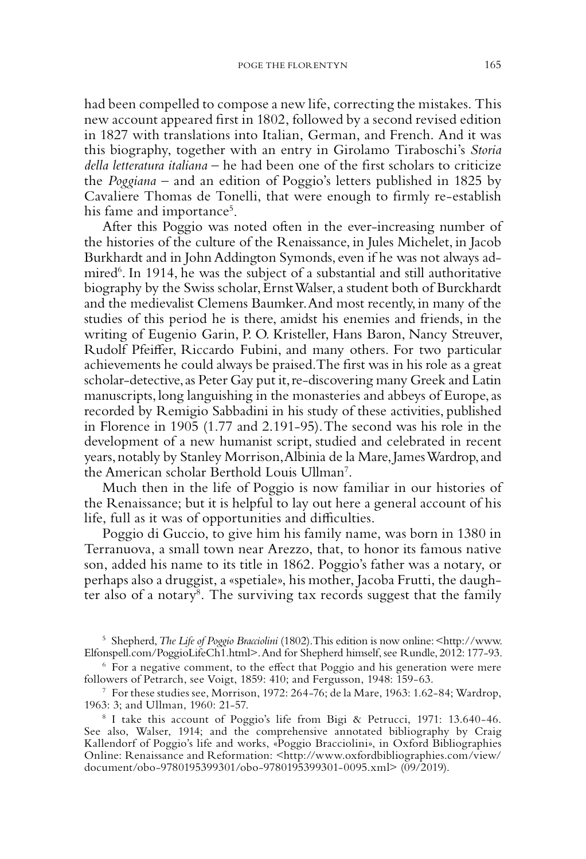had been compelled to compose a new life, correcting the mistakes. This new account appeared first in 1802, followed by a second revised edition in 1827 with translations into Italian, German, and French. And it was this biography, together with an entry in Girolamo Tiraboschi's *Storia della letteratura italiana* – he had been one of the first scholars to criticize the *Poggiana* – and an edition of Poggio's letters published in 1825 by Cavaliere Thomas de Tonelli, that were enough to firmly re-establish his fame and importance<sup>5</sup>.

After this Poggio was noted often in the ever-increasing number of the histories of the culture of the Renaissance, in Jules Michelet, in Jacob Burkhardt and in John Addington Symonds, even if he was not always admired<sup>6</sup>. In 1914, he was the subject of a substantial and still authoritative biography by the Swiss scholar, Ernst Walser, a student both of Burckhardt and the medievalist Clemens Baumker. And most recently, in many of the studies of this period he is there, amidst his enemies and friends, in the writing of Eugenio Garin, P. O. Kristeller, Hans Baron, Nancy Streuver, Rudolf Pfeiffer, Riccardo Fubini, and many others. For two particular achievements he could always be praised. The first was in his role as a great scholar-detective, as Peter Gay put it, re-discovering many Greek and Latin manuscripts, long languishing in the monasteries and abbeys of Europe, as recorded by Remigio Sabbadini in his study of these activities, published in Florence in 1905 (1.77 and 2.191-95). The second was his role in the development of a new humanist script, studied and celebrated in recent years, notably by Stanley Morrison, Albinia de la Mare, James Wardrop, and the American scholar Berthold Louis Ullman7 .

Much then in the life of Poggio is now familiar in our histories of the Renaissance; but it is helpful to lay out here a general account of his life, full as it was of opportunities and difficulties.

Poggio di Guccio, to give him his family name, was born in 1380 in Terranuova, a small town near Arezzo, that, to honor its famous native son, added his name to its title in 1862. Poggio's father was a notary, or perhaps also a druggist, a «spetiale», his mother, Jacoba Frutti, the daughter also of a notary<sup>8</sup>. The surviving tax records suggest that the family

<sup>5</sup> Shepherd, *The Life of Poggio Bracciolini* (1802). This edition is now online: [<http://www.](http://www.Elfonspell.com/PoggioLifeCh1.html) [Elfonspell.com/PoggioLifeCh1.html>](http://www.Elfonspell.com/PoggioLifeCh1.html). And for Shepherd himself, see Rundle, 2012: 177-93.<br><sup>6</sup> For a negative comment, to the effect that Poggio and his generation were mere

followers of Petrarch, see Voigt, 1859: 410; and Fergusson, 1948: 159-63.

<sup>7</sup> For these studies see, Morrison, 1972: 264-76; de la Mare, 1963: 1.62-84; Wardrop, 1963: 3; and Ullman, 1960: 21-57.

<sup>8</sup> I take this account of Poggio's life from Bigi & Petrucci, 1971: 13.640-46. See also, Walser, 1914; and the comprehensive annotated bibliography by Craig Kallendorf of Poggio's life and works, «Poggio Bracciolini», in Oxford Bibliographies Online: Renaissance and Reformation: <[http://www.oxfordbibliographies.com/view/](http://www.oxfordbibliographies.com/view/document/obo-9780195399301/obo-9780195399301-0095.xml) [document/obo-9780195399301/obo-9780195399301-0095.xml>](http://www.oxfordbibliographies.com/view/document/obo-9780195399301/obo-9780195399301-0095.xml) (09/2019).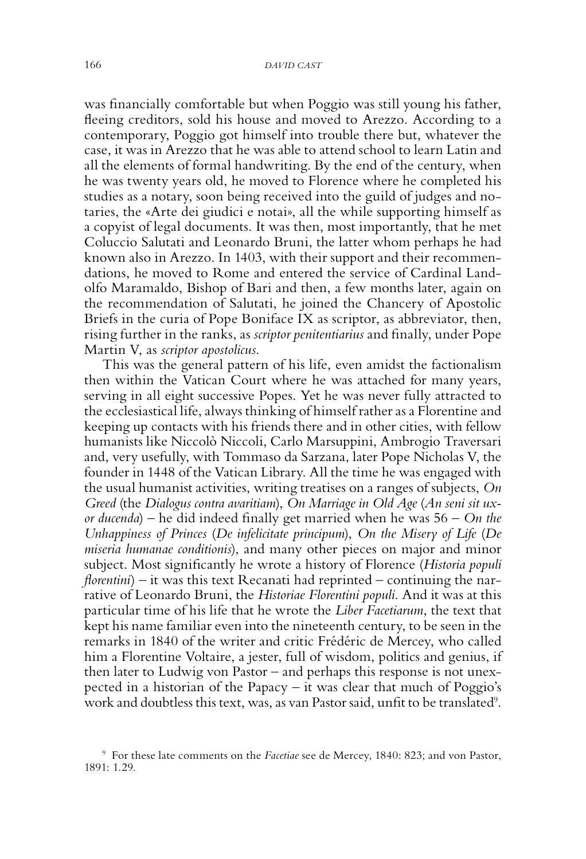was financially comfortable but when Poggio was still young his father, fleeing creditors, sold his house and moved to Arezzo. According to a contemporary, Poggio got himself into trouble there but, whatever the case, it was in Arezzo that he was able to attend school to learn Latin and all the elements of formal handwriting. By the end of the century, when he was twenty years old, he moved to Florence where he completed his studies as a notary, soon being received into the guild of judges and notaries, the «Arte dei giudici e notai», all the while supporting himself as a copyist of legal documents. It was then, most importantly, that he met Coluccio Salutati and Leonardo Bruni, the latter whom perhaps he had known also in Arezzo. In 1403, with their support and their recommendations, he moved to Rome and entered the service of Cardinal Landolfo Maramaldo, Bishop of Bari and then, a few months later, again on the recommendation of Salutati, he joined the Chancery of Apostolic Briefs in the curia of Pope Boniface IX as scriptor, as abbreviator, then, rising further in the ranks, as *scriptor penitentiarius* and finally, under Pope Martin V, as *scriptor apostolicus*.

This was the general pattern of his life, even amidst the factionalism then within the Vatican Court where he was attached for many years, serving in all eight successive Popes. Yet he was never fully attracted to the ecclesiastical life, always thinking of himself rather as a Florentine and keeping up contacts with his friends there and in other cities, with fellow humanists like Niccolò Niccoli, Carlo Marsuppini, Ambrogio Traversari and, very usefully, with Tommaso da Sarzana, later Pope Nicholas V, the founder in 1448 of the Vatican Library. All the time he was engaged with the usual humanist activities, writing treatises on a ranges of subjects, *On Greed* (the *Dialogus contra avaritiam*), *On Marriage in Old Age* (*An seni sit uxor ducenda*) – he did indeed finally get married when he was 56 – *On the Unhappiness of Princes* (*De infelicitate principum*), *On the Misery of Life* (*De miseria humanae conditionis*), and many other pieces on major and minor subject. Most significantly he wrote a history of Florence (*Historia populi florentini*) – it was this text Recanati had reprinted – continuing the narrative of Leonardo Bruni, the *Historiae Florentini populi*. And it was at this particular time of his life that he wrote the *Liber Facetiarum*, the text that kept his name familiar even into the nineteenth century, to be seen in the remarks in 1840 of the writer and critic Frédéric de Mercey, who called him a Florentine Voltaire, a jester, full of wisdom, politics and genius, if then later to Ludwig von Pastor – and perhaps this response is not unexpected in a historian of the Papacy – it was clear that much of Poggio's work and doubtless this text, was, as van Pastor said, unfit to be translated9 .

<sup>9</sup> For these late comments on the *Facetiae* see de Mercey, 1840: 823; and von Pastor, 1891: 1.29.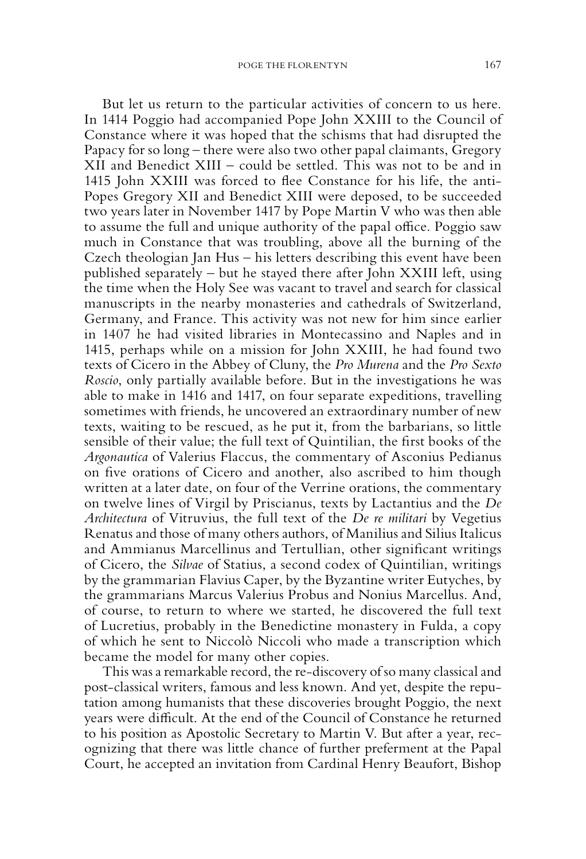But let us return to the particular activities of concern to us here. In 1414 Poggio had accompanied Pope John XXIII to the Council of Constance where it was hoped that the schisms that had disrupted the Papacy for so long – there were also two other papal claimants, Gregory XII and Benedict XIII – could be settled. This was not to be and in 1415 John XXIII was forced to flee Constance for his life, the anti-Popes Gregory XII and Benedict XIII were deposed, to be succeeded two years later in November 1417 by Pope Martin V who was then able to assume the full and unique authority of the papal office. Poggio saw much in Constance that was troubling, above all the burning of the Czech theologian Jan Hus – his letters describing this event have been published separately – but he stayed there after John XXIII left, using the time when the Holy See was vacant to travel and search for classical manuscripts in the nearby monasteries and cathedrals of Switzerland, Germany, and France. This activity was not new for him since earlier in 1407 he had visited libraries in Montecassino and Naples and in 1415, perhaps while on a mission for John XXIII, he had found two texts of Cicero in the Abbey of Cluny, the *Pro Murena* and the *Pro Sexto Roscio*, only partially available before. But in the investigations he was able to make in 1416 and 1417, on four separate expeditions, travelling sometimes with friends, he uncovered an extraordinary number of new texts, waiting to be rescued, as he put it, from the barbarians, so little sensible of their value; the full text of Quintilian, the first books of the *Argonautica* of Valerius Flaccus, the commentary of Asconius Pedianus on five orations of Cicero and another, also ascribed to him though written at a later date, on four of the Verrine orations, the commentary on twelve lines of Virgil by Priscianus, texts by Lactantius and the *De Architectura* of Vitruvius, the full text of the *De re militari* by Vegetius Renatus and those of many others authors, of Manilius and Silius Italicus and Ammianus Marcellinus and Tertullian, other significant writings of Cicero, the *Silvae* of Statius, a second codex of Quintilian, writings by the grammarian Flavius Caper, by the Byzantine writer Eutyches, by the grammarians Marcus Valerius Probus and Nonius Marcellus. And, of course, to return to where we started, he discovered the full text of Lucretius, probably in the Benedictine monastery in Fulda, a copy of which he sent to Niccolò Niccoli who made a transcription which became the model for many other copies.

This was a remarkable record, the re-discovery of so many classical and post-classical writers, famous and less known. And yet, despite the reputation among humanists that these discoveries brought Poggio, the next years were difficult. At the end of the Council of Constance he returned to his position as Apostolic Secretary to Martin V. But after a year, recognizing that there was little chance of further preferment at the Papal Court, he accepted an invitation from Cardinal Henry Beaufort, Bishop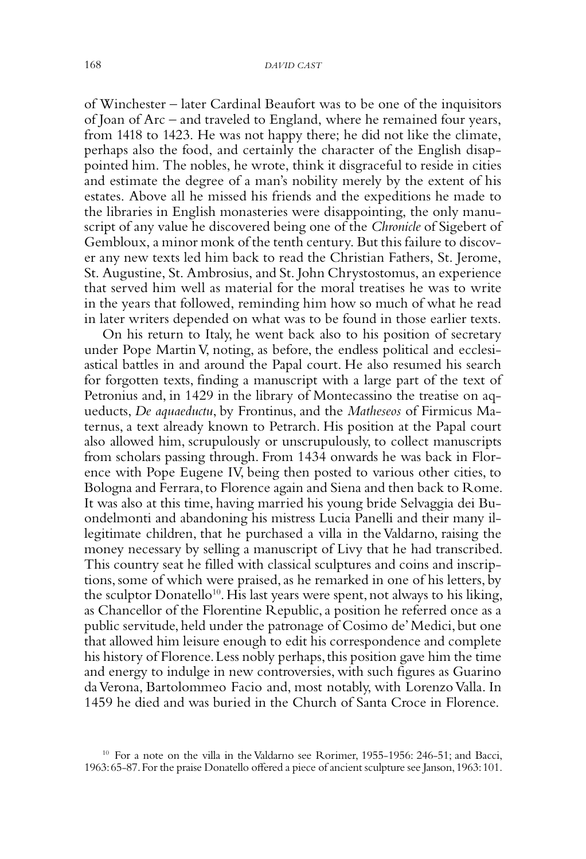of Winchester – later Cardinal Beaufort was to be one of the inquisitors of Joan of Arc – and traveled to England, where he remained four years, from 1418 to 1423. He was not happy there; he did not like the climate, perhaps also the food, and certainly the character of the English disappointed him. The nobles, he wrote, think it disgraceful to reside in cities and estimate the degree of a man's nobility merely by the extent of his estates. Above all he missed his friends and the expeditions he made to the libraries in English monasteries were disappointing, the only manuscript of any value he discovered being one of the *Chronicle* of Sigebert of Gembloux, a minor monk of the tenth century. But this failure to discover any new texts led him back to read the Christian Fathers, St. Jerome, St. Augustine, St. Ambrosius, and St. John Chrystostomus, an experience that served him well as material for the moral treatises he was to write in the years that followed, reminding him how so much of what he read in later writers depended on what was to be found in those earlier texts.

On his return to Italy, he went back also to his position of secretary under Pope Martin V, noting, as before, the endless political and ecclesiastical battles in and around the Papal court. He also resumed his search for forgotten texts, finding a manuscript with a large part of the text of Petronius and, in 1429 in the library of Montecassino the treatise on aqueducts, *De aquaeductu*, by Frontinus, and the *Matheseos* of Firmicus Maternus, a text already known to Petrarch. His position at the Papal court also allowed him, scrupulously or unscrupulously, to collect manuscripts from scholars passing through. From 1434 onwards he was back in Florence with Pope Eugene IV, being then posted to various other cities, to Bologna and Ferrara, to Florence again and Siena and then back to Rome. It was also at this time, having married his young bride Selvaggia dei Buondelmonti and abandoning his mistress Lucia Panelli and their many illegitimate children, that he purchased a villa in the Valdarno, raising the money necessary by selling a manuscript of Livy that he had transcribed. This country seat he filled with classical sculptures and coins and inscriptions, some of which were praised, as he remarked in one of his letters, by the sculptor Donatello<sup>10</sup>. His last years were spent, not always to his liking, as Chancellor of the Florentine Republic, a position he referred once as a public servitude, held under the patronage of Cosimo de' Medici, but one that allowed him leisure enough to edit his correspondence and complete his history of Florence. Less nobly perhaps, this position gave him the time and energy to indulge in new controversies, with such figures as Guarino da Verona, Bartolommeo Facio and, most notably, with Lorenzo Valla. In 1459 he died and was buried in the Church of Santa Croce in Florence.

<sup>&</sup>lt;sup>10</sup> For a note on the villa in the Valdarno see Rorimer, 1955-1956: 246-51; and Bacci, 1963: 65-87. For the praise Donatello offered a piece of ancient sculpture see Janson, 1963: 101.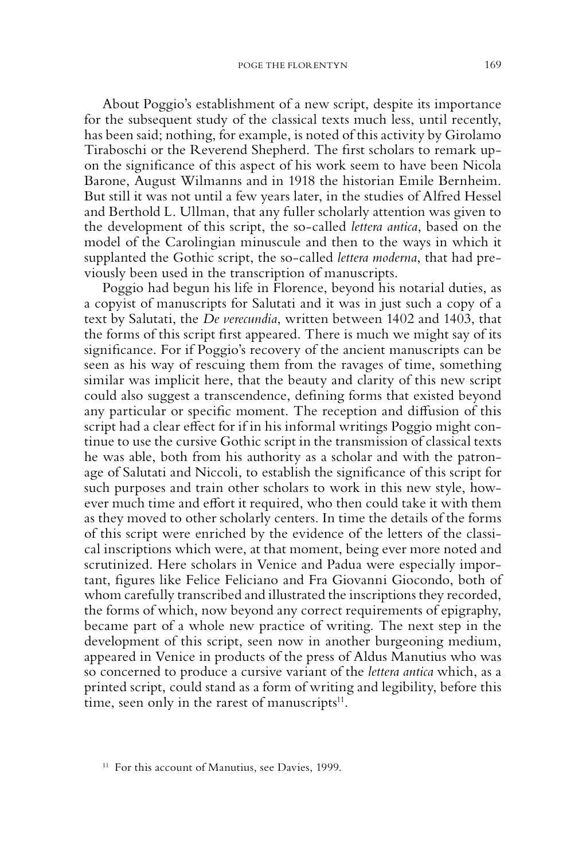About Poggio's establishment of a new script, despite its importance for the subsequent study of the classical texts much less, until recently, has been said; nothing, for example, is noted of this activity by Girolamo Tiraboschi or the Reverend Shepherd. The first scholars to remark upon the significance of this aspect of his work seem to have been Nicola Barone, August Wilmanns and in 1918 the historian Emile Bernheim. But still it was not until a few years later, in the studies of Alfred Hessel and Berthold L. Ullman, that any fuller scholarly attention was given to the development of this script, the so-called *lettera antica*, based on the model of the Carolingian minuscule and then to the ways in which it supplanted the Gothic script, the so-called *lettera moderna*, that had previously been used in the transcription of manuscripts.

Poggio had begun his life in Florence, beyond his notarial duties, as a copyist of manuscripts for Salutati and it was in just such a copy of a text by Salutati, the *De verecundia*, written between 1402 and 1403, that the forms of this script first appeared. There is much we might say of its significance. For if Poggio's recovery of the ancient manuscripts can be seen as his way of rescuing them from the ravages of time, something similar was implicit here, that the beauty and clarity of this new script could also suggest a transcendence, defining forms that existed beyond any particular or specific moment. The reception and diffusion of this script had a clear effect for if in his informal writings Poggio might continue to use the cursive Gothic script in the transmission of classical texts he was able, both from his authority as a scholar and with the patronage of Salutati and Niccoli, to establish the significance of this script for such purposes and train other scholars to work in this new style, however much time and effort it required, who then could take it with them as they moved to other scholarly centers. In time the details of the forms of this script were enriched by the evidence of the letters of the classical inscriptions which were, at that moment, being ever more noted and scrutinized. Here scholars in Venice and Padua were especially important, figures like Felice Feliciano and Fra Giovanni Giocondo, both of whom carefully transcribed and illustrated the inscriptions they recorded, the forms of which, now beyond any correct requirements of epigraphy, became part of a whole new practice of writing. The next step in the development of this script, seen now in another burgeoning medium, appeared in Venice in products of the press of Aldus Manutius who was so concerned to produce a cursive variant of the *lettera antica* which, as a printed script, could stand as a form of writing and legibility, before this time, seen only in the rarest of manuscripts $11$ .

<sup>&</sup>lt;sup>11</sup> For this account of Manutius, see Davies, 1999.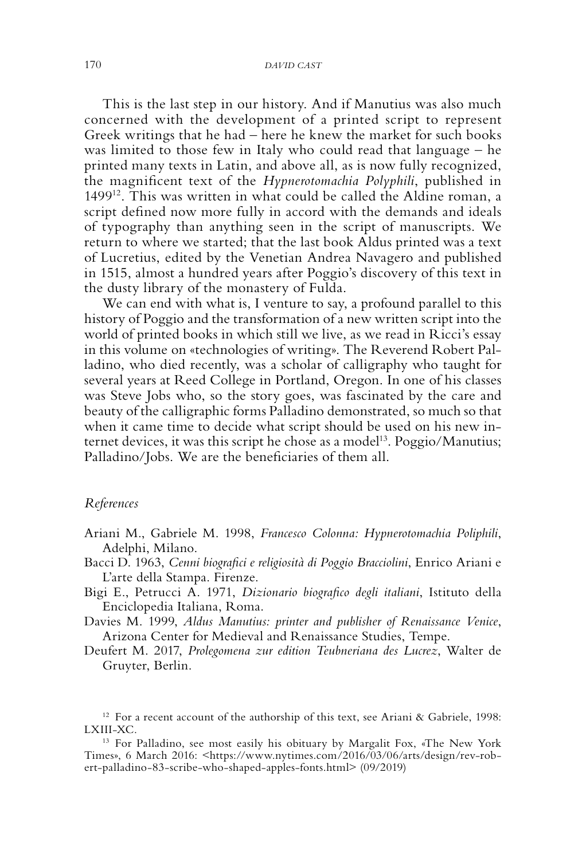This is the last step in our history. And if Manutius was also much concerned with the development of a printed script to represent Greek writings that he had – here he knew the market for such books was limited to those few in Italy who could read that language – he printed many texts in Latin, and above all, as is now fully recognized, the magnificent text of the *Hypnerotomachia Polyphili*, published in  $1499^{12}$ . This was written in what could be called the Aldine roman, a script defined now more fully in accord with the demands and ideals of typography than anything seen in the script of manuscripts. We return to where we started; that the last book Aldus printed was a text of Lucretius, edited by the Venetian Andrea Navagero and published in 1515, almost a hundred years after Poggio's discovery of this text in the dusty library of the monastery of Fulda.

We can end with what is, I venture to say, a profound parallel to this history of Poggio and the transformation of a new written script into the world of printed books in which still we live, as we read in Ricci's essay in this volume on «technologies of writing». The Reverend Robert Palladino, who died recently, was a scholar of calligraphy who taught for several years at Reed College in Portland, Oregon. In one of his classes was Steve Jobs who, so the story goes, was fascinated by the care and beauty of the calligraphic forms Palladino demonstrated, so much so that when it came time to decide what script should be used on his new internet devices, it was this script he chose as a model<sup>13</sup>. Poggio/Manutius; Palladino/Jobs. We are the beneficiaries of them all.

## *References*

- Ariani M., Gabriele M. 1998, *Francesco Colonna: Hypnerotomachia Poliphili*, Adelphi, Milano.
- Bacci D. 1963, *Cenni biografici e religiosità di Poggio Bracciolini*, Enrico Ariani e L'arte della Stampa. Firenze.
- Bigi E., Petrucci A. 1971, *Dizionario biografico degli italiani*, Istituto della Enciclopedia Italiana, Roma.
- Davies M. 1999, *Aldus Manutius: printer and publisher of Renaissance Venice*, Arizona Center for Medieval and Renaissance Studies, Tempe.
- Deufert M. 2017, *Prolegomena zur edition Teubneriana des Lucrez*, Walter de Gruyter, Berlin.

<sup>12</sup> For a recent account of the authorship of this text, see Ariani & Gabriele, 1998: LXIII-XC.

<sup>13</sup> For Palladino, see most easily his obituary by Margalit Fox, «The New York Times», 6 March 2016: [<https://www.nytimes.com/2016/03/06/arts/design/rev-rob](https://www.nytimes.com/2016/03/06/arts/design/rev-robert-palladino-83-scribe-who-shaped-apples-fonts.html)[ert-palladino-83-scribe-who-shaped-apples-fonts.html](https://www.nytimes.com/2016/03/06/arts/design/rev-robert-palladino-83-scribe-who-shaped-apples-fonts.html)> (09/2019)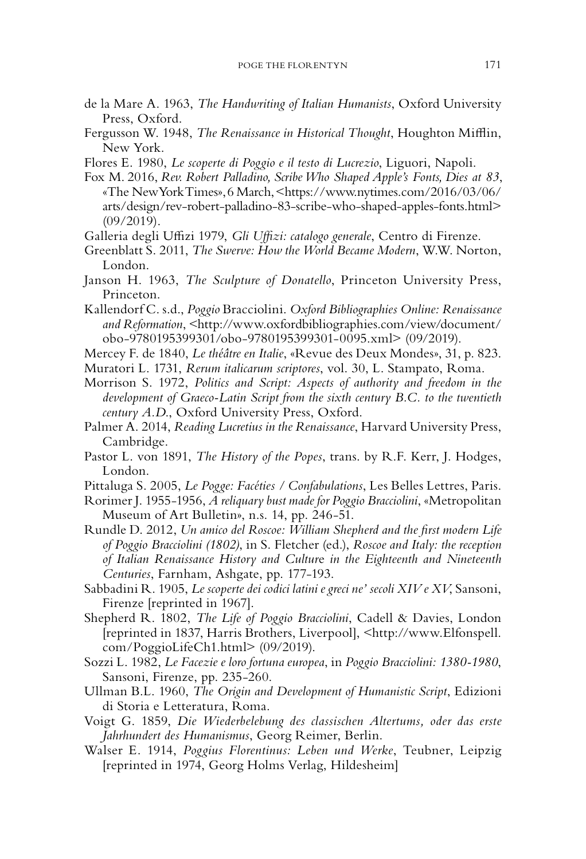- de la Mare A. 1963, *The Handwriting of Italian Humanists*, Oxford University Press, Oxford.
- Fergusson W. 1948, *The Renaissance in Historical Thought*, Houghton Mifflin, New York.
- Flores E. 1980, *Le scoperte di Poggio e il testo di Lucrezio*, Liguori, Napoli.
- Fox M. 2016, *Rev. Robert Palladino, Scribe Who Shaped Apple's Fonts, Dies at 83*, «The New York Times», 6 March, [<https://www.nytimes.com/2016/03/06/](https://www.nytimes.com/2016/03/06/arts/design/rev-robert-palladino-83-scribe-who-shaped-apples-fonts.html) [arts/design/rev-robert-palladino-83-scribe-who-shaped-apples-fonts.html](https://www.nytimes.com/2016/03/06/arts/design/rev-robert-palladino-83-scribe-who-shaped-apples-fonts.html)> (09/2019).
- Galleria degli Uffizi 1979, *Gli Uffizi: catalogo generale*, Centro di Firenze.
- Greenblatt S. 2011, *The Swerve: How the World Became Modern*, W.W. Norton, London.
- Janson H. 1963, *The Sculpture of Donatello*, Princeton University Press, Princeton.
- Kallendorf C. s.d., *Poggio* Bracciolini. *Oxford Bibliographies Online: Renaissance and Reformation*, [<http://www.oxfordbibliographies.com/view/document/](http://www.oxfordbibliographies.com/view/document/obo-9780195399301/obo-9780195399301-0095.xml) [obo-9780195399301/obo-9780195399301-0095.xml>](http://www.oxfordbibliographies.com/view/document/obo-9780195399301/obo-9780195399301-0095.xml) (09/2019).
- Mercey F. de 1840, *Le théâtre en Italie*, «Revue des Deux Mondes», 31, p. 823.
- Muratori L. 1731, *Rerum italicarum scriptores*, vol. 30, L. Stampato, Roma.
- Morrison S. 1972, *Politics and Script: Aspects of authority and freedom in the development of Graeco-Latin Script from the sixth century B.C. to the twentieth century A.D*., Oxford University Press, Oxford.
- Palmer A. 2014, *Reading Lucretius in the Renaissance*, Harvard University Press, Cambridge.
- Pastor L. von 1891, *The History of the Popes*, trans. by R.F. Kerr, J. Hodges, London.
- Pittaluga S. 2005, *Le Pogge: Facéties / Confabulations*, Les Belles Lettres, Paris.
- Rorimer J. 1955-1956, *A reliquary bust made for Poggio Bracciolini*, «Metropolitan Museum of Art Bulletin», n.s. 14, pp. 246-51.
- Rundle D. 2012, *Un amico del Roscoe: William Shepherd and the first modern Life of Poggio Bracciolini (1802)*, in S. Fletcher (ed.), *Roscoe and Italy: the reception of Italian Renaissance History and Cultur*e *in the Eighteenth and Nineteenth Centuries*, Farnham, Ashgate, pp. 177-193.
- Sabbadini R. 1905, *Le scoperte dei codici latini e greci ne' secoli XIV e XV*, Sansoni, Firenze [reprinted in 1967].
- Shepherd R. 1802, *The Life of Poggio Bracciolini*, Cadell & Davies, London [reprinted in 1837, Harris Brothers, Liverpool], [<http://www.Elfonspell.](http://www.Elfonspell.com/PoggioLifeCh1.html) [com/PoggioLifeCh1.html>](http://www.Elfonspell.com/PoggioLifeCh1.html) (09/2019).
- Sozzi L. 1982, *Le Facezie e loro fortuna europea*, in *Poggio Bracciolini: 1380-1980*, Sansoni, Firenze, pp. 235-260.
- Ullman B.L. 1960, *The Origin and Development of Humanistic Script*, Edizioni di Storia e Letteratura, Roma.
- Voigt G. 1859, *Die Wiederbelebung des classischen Altertums, oder das erste Jahrhundert des Humanismus*, Georg Reimer, Berlin.
- Walser E. 1914, *Poggius Florentinus: Leben und Werke*, Teubner, Leipzig [reprinted in 1974, Georg Holms Verlag, Hildesheim]